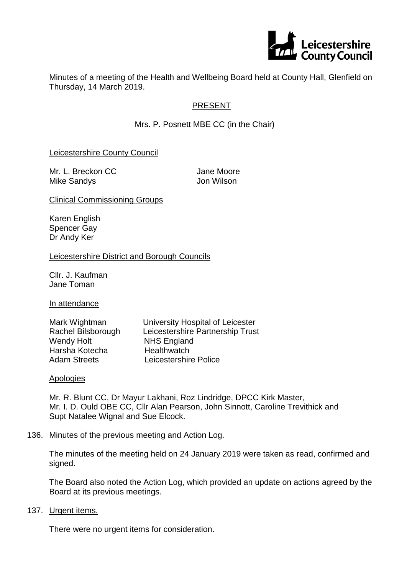

Minutes of a meeting of the Health and Wellbeing Board held at County Hall, Glenfield on Thursday, 14 March 2019.

# PRESENT

Mrs. P. Posnett MBE CC (in the Chair)

Leicestershire County Council

Mr. L. Breckon CC Jane Moore Mike Sandys **Mike Sandys** Jon Wilson

Clinical Commissioning Groups

Karen English Spencer Gay Dr Andy Ker

Leicestershire District and Borough Councils

Cllr. J. Kaufman Jane Toman

In attendance

| Mark Wightman       | University Hospital of Leicester |
|---------------------|----------------------------------|
| Rachel Bilsborough  | Leicestershire Partnership Trust |
| <b>Wendy Holt</b>   | <b>NHS England</b>               |
| Harsha Kotecha      | <b>Healthwatch</b>               |
| <b>Adam Streets</b> | Leicestershire Police            |
|                     |                                  |

Apologies

Mr. R. Blunt CC, Dr Mayur Lakhani, Roz Lindridge, DPCC Kirk Master, Mr. I. D. Ould OBE CC, Cllr Alan Pearson, John Sinnott, Caroline Trevithick and Supt Natalee Wignal and Sue Elcock.

136. Minutes of the previous meeting and Action Log.

The minutes of the meeting held on 24 January 2019 were taken as read, confirmed and signed.

The Board also noted the Action Log, which provided an update on actions agreed by the Board at its previous meetings.

137. Urgent items.

There were no urgent items for consideration.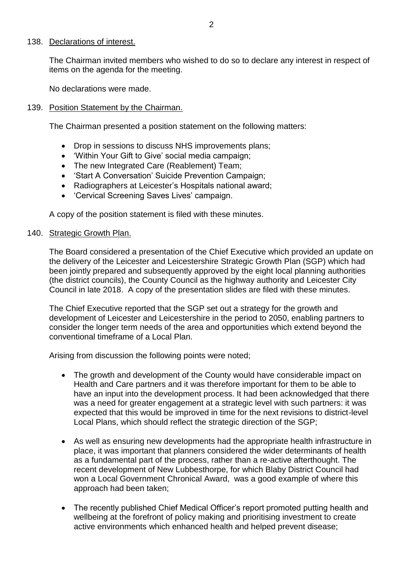#### 138. Declarations of interest.

The Chairman invited members who wished to do so to declare any interest in respect of items on the agenda for the meeting.

No declarations were made.

### 139. Position Statement by the Chairman.

The Chairman presented a position statement on the following matters:

- Drop in sessions to discuss NHS improvements plans;
- 'Within Your Gift to Give' social media campaign;
- The new Integrated Care (Reablement) Team;
- 'Start A Conversation' Suicide Prevention Campaign;
- Radiographers at Leicester's Hospitals national award;
- 'Cervical Screening Saves Lives' campaign.

A copy of the position statement is filed with these minutes.

### 140. Strategic Growth Plan.

The Board considered a presentation of the Chief Executive which provided an update on the delivery of the Leicester and Leicestershire Strategic Growth Plan (SGP) which had been jointly prepared and subsequently approved by the eight local planning authorities (the district councils), the County Council as the highway authority and Leicester City Council in late 2018. A copy of the presentation slides are filed with these minutes.

The Chief Executive reported that the SGP set out a strategy for the growth and development of Leicester and Leicestershire in the period to 2050, enabling partners to consider the longer term needs of the area and opportunities which extend beyond the conventional timeframe of a Local Plan.

Arising from discussion the following points were noted;

- The growth and development of the County would have considerable impact on Health and Care partners and it was therefore important for them to be able to have an input into the development process. It had been acknowledged that there was a need for greater engagement at a strategic level with such partners: it was expected that this would be improved in time for the next revisions to district-level Local Plans, which should reflect the strategic direction of the SGP;
- As well as ensuring new developments had the appropriate health infrastructure in place, it was important that planners considered the wider determinants of health as a fundamental part of the process, rather than a re-active afterthought. The recent development of New Lubbesthorpe, for which Blaby District Council had won a Local Government Chronical Award, was a good example of where this approach had been taken;
- The recently published Chief Medical Officer's report promoted putting health and wellbeing at the forefront of policy making and prioritising investment to create active environments which enhanced health and helped prevent disease;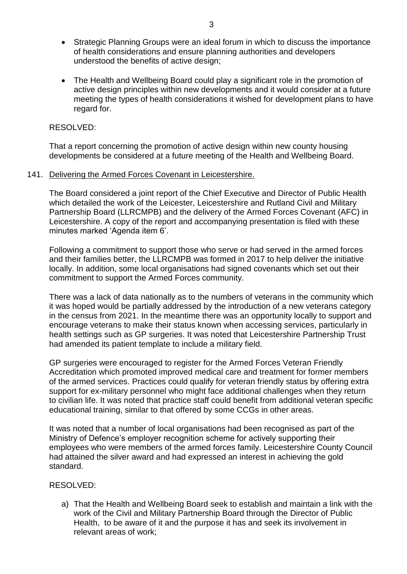- Strategic Planning Groups were an ideal forum in which to discuss the importance of health considerations and ensure planning authorities and developers understood the benefits of active design;
- The Health and Wellbeing Board could play a significant role in the promotion of active design principles within new developments and it would consider at a future meeting the types of health considerations it wished for development plans to have regard for.

### RESOLVED:

That a report concerning the promotion of active design within new county housing developments be considered at a future meeting of the Health and Wellbeing Board.

#### 141. Delivering the Armed Forces Covenant in Leicestershire.

The Board considered a joint report of the Chief Executive and Director of Public Health which detailed the work of the Leicester, Leicestershire and Rutland Civil and Military Partnership Board (LLRCMPB) and the delivery of the Armed Forces Covenant (AFC) in Leicestershire. A copy of the report and accompanying presentation is filed with these minutes marked 'Agenda item 6'.

Following a commitment to support those who serve or had served in the armed forces and their families better, the LLRCMPB was formed in 2017 to help deliver the initiative locally. In addition, some local organisations had signed covenants which set out their commitment to support the Armed Forces community.

There was a lack of data nationally as to the numbers of veterans in the community which it was hoped would be partially addressed by the introduction of a new veterans category in the census from 2021. In the meantime there was an opportunity locally to support and encourage veterans to make their status known when accessing services, particularly in health settings such as GP surgeries. It was noted that Leicestershire Partnership Trust had amended its patient template to include a military field.

GP surgeries were encouraged to register for the Armed Forces Veteran Friendly Accreditation which promoted improved medical care and treatment for former members of the armed services. Practices could qualify for veteran friendly status by offering extra support for ex-military personnel who might face additional challenges when they return to civilian life. It was noted that practice staff could benefit from additional veteran specific educational training, similar to that offered by some CCGs in other areas.

It was noted that a number of local organisations had been recognised as part of the Ministry of Defence's employer recognition scheme for actively supporting their employees who were members of the armed forces family. Leicestershire County Council had attained the silver award and had expressed an interest in achieving the gold standard.

# RESOLVED:

a) That the Health and Wellbeing Board seek to establish and maintain a link with the work of the Civil and Military Partnership Board through the Director of Public Health, to be aware of it and the purpose it has and seek its involvement in relevant areas of work;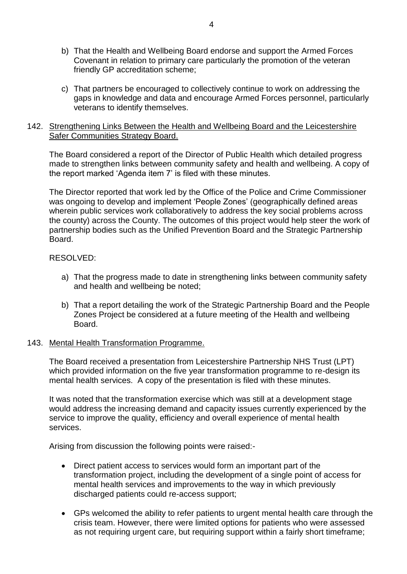- b) That the Health and Wellbeing Board endorse and support the Armed Forces Covenant in relation to primary care particularly the promotion of the veteran friendly GP accreditation scheme;
- c) That partners be encouraged to collectively continue to work on addressing the gaps in knowledge and data and encourage Armed Forces personnel, particularly veterans to identify themselves.

### 142. Strengthening Links Between the Health and Wellbeing Board and the Leicestershire Safer Communities Strategy Board.

The Board considered a report of the Director of Public Health which detailed progress made to strengthen links between community safety and health and wellbeing. A copy of the report marked 'Agenda item 7' is filed with these minutes.

The Director reported that work led by the Office of the Police and Crime Commissioner was ongoing to develop and implement 'People Zones' (geographically defined areas wherein public services work collaboratively to address the key social problems across the county) across the County. The outcomes of this project would help steer the work of partnership bodies such as the Unified Prevention Board and the Strategic Partnership Board.

# RESOLVED:

- a) That the progress made to date in strengthening links between community safety and health and wellbeing be noted;
- b) That a report detailing the work of the Strategic Partnership Board and the People Zones Project be considered at a future meeting of the Health and wellbeing Board.

#### 143. Mental Health Transformation Programme.

The Board received a presentation from Leicestershire Partnership NHS Trust (LPT) which provided information on the five year transformation programme to re-design its mental health services. A copy of the presentation is filed with these minutes.

It was noted that the transformation exercise which was still at a development stage would address the increasing demand and capacity issues currently experienced by the service to improve the quality, efficiency and overall experience of mental health services.

Arising from discussion the following points were raised:-

- Direct patient access to services would form an important part of the transformation project, including the development of a single point of access for mental health services and improvements to the way in which previously discharged patients could re-access support;
- GPs welcomed the ability to refer patients to urgent mental health care through the crisis team. However, there were limited options for patients who were assessed as not requiring urgent care, but requiring support within a fairly short timeframe;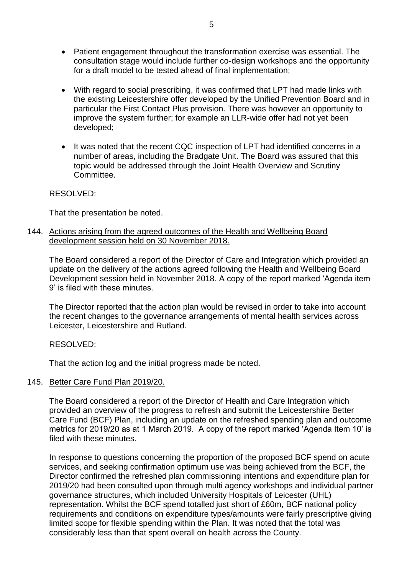- Patient engagement throughout the transformation exercise was essential. The consultation stage would include further co-design workshops and the opportunity for a draft model to be tested ahead of final implementation;
- With regard to social prescribing, it was confirmed that LPT had made links with the existing Leicestershire offer developed by the Unified Prevention Board and in particular the First Contact Plus provision. There was however an opportunity to improve the system further; for example an LLR-wide offer had not yet been developed;
- It was noted that the recent CQC inspection of LPT had identified concerns in a number of areas, including the Bradgate Unit. The Board was assured that this topic would be addressed through the Joint Health Overview and Scrutiny Committee.

# RESOLVED:

That the presentation be noted.

144. Actions arising from the agreed outcomes of the Health and Wellbeing Board development session held on 30 November 2018.

The Board considered a report of the Director of Care and Integration which provided an update on the delivery of the actions agreed following the Health and Wellbeing Board Development session held in November 2018. A copy of the report marked 'Agenda item 9' is filed with these minutes.

The Director reported that the action plan would be revised in order to take into account the recent changes to the governance arrangements of mental health services across Leicester, Leicestershire and Rutland.

RESOLVED:

That the action log and the initial progress made be noted.

#### 145. Better Care Fund Plan 2019/20.

The Board considered a report of the Director of Health and Care Integration which provided an overview of the progress to refresh and submit the Leicestershire Better Care Fund (BCF) Plan, including an update on the refreshed spending plan and outcome metrics for 2019/20 as at 1 March 2019. A copy of the report marked 'Agenda Item 10' is filed with these minutes.

In response to questions concerning the proportion of the proposed BCF spend on acute services, and seeking confirmation optimum use was being achieved from the BCF, the Director confirmed the refreshed plan commissioning intentions and expenditure plan for 2019/20 had been consulted upon through multi agency workshops and individual partner governance structures, which included University Hospitals of Leicester (UHL) representation. Whilst the BCF spend totalled just short of £60m, BCF national policy requirements and conditions on expenditure types/amounts were fairly prescriptive giving limited scope for flexible spending within the Plan. It was noted that the total was considerably less than that spent overall on health across the County.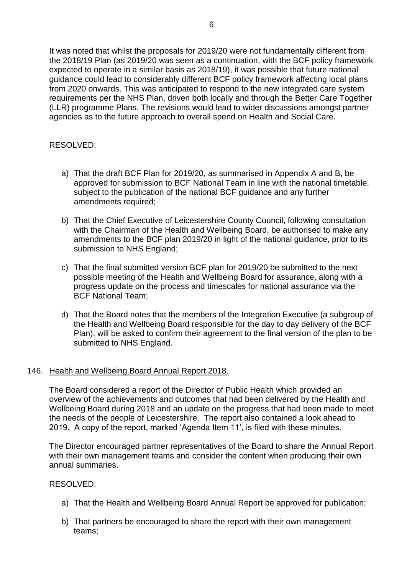It was noted that whilst the proposals for 2019/20 were not fundamentally different from the 2018/19 Plan (as 2019/20 was seen as a continuation, with the BCF policy framework expected to operate in a similar basis as 2018/19), it was possible that future national guidance could lead to considerably different BCF policy framework affecting local plans from 2020 onwards. This was anticipated to respond to the new integrated care system requirements per the NHS Plan, driven both locally and through the Better Care Together (LLR) programme Plans. The revisions would lead to wider discussions amongst partner agencies as to the future approach to overall spend on Health and Social Care.

# RESOLVED:

- a) That the draft BCF Plan for 2019/20, as summarised in Appendix A and B, be approved for submission to BCF National Team in line with the national timetable, subject to the publication of the national BCF guidance and any further amendments required;
- b) That the Chief Executive of Leicestershire County Council, following consultation with the Chairman of the Health and Wellbeing Board, be authorised to make any amendments to the BCF plan 2019/20 in light of the national guidance, prior to its submission to NHS England;
- c) That the final submitted version BCF plan for 2019/20 be submitted to the next possible meeting of the Health and Wellbeing Board for assurance, along with a progress update on the process and timescales for national assurance via the BCF National Team;
- d) That the Board notes that the members of the Integration Executive (a subgroup of the Health and Wellbeing Board responsible for the day to day delivery of the BCF Plan), will be asked to confirm their agreement to the final version of the plan to be submitted to NHS England.

# 146. Health and Wellbeing Board Annual Report 2018.

The Board considered a report of the Director of Public Health which provided an overview of the achievements and outcomes that had been delivered by the Health and Wellbeing Board during 2018 and an update on the progress that had been made to meet the needs of the people of Leicestershire. The report also contained a look ahead to 2019. A copy of the report, marked 'Agenda Item 11', is filed with these minutes.

The Director encouraged partner representatives of the Board to share the Annual Report with their own management teams and consider the content when producing their own annual summaries.

# RESOLVED:

- a) That the Health and Wellbeing Board Annual Report be approved for publication;
- b) That partners be encouraged to share the report with their own management teams;